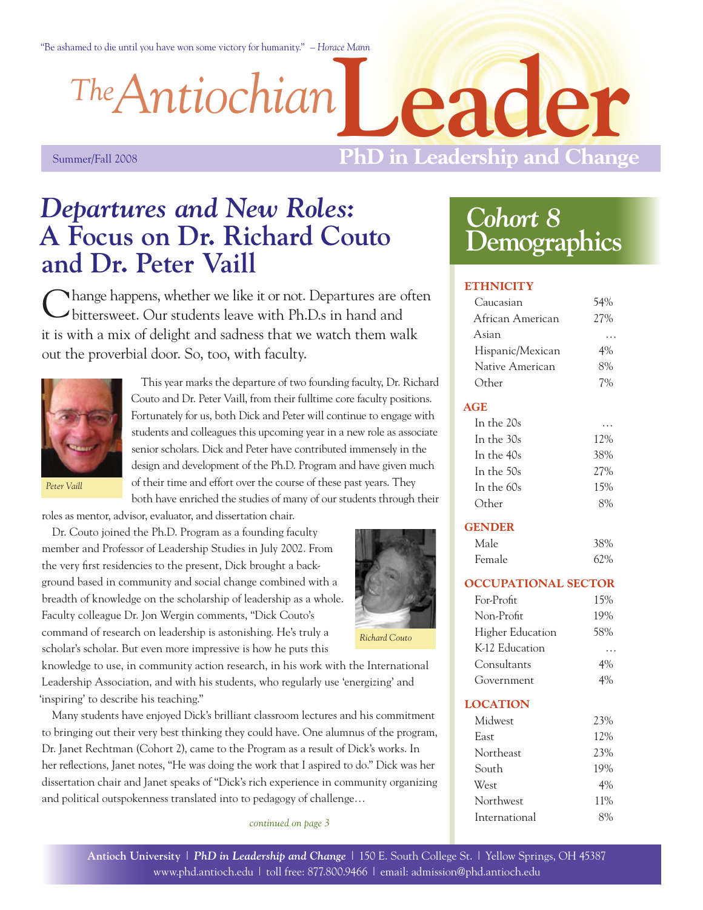"Be ashamed to die until you have won some victory for humanity." *– Horace Mann*

*Antiochian The*

**ler** 

Summer/Fall 2008

## **PhD in Leadership and Change**

# *Departures and New Roles:*  **A Focus on Dr. Richard Couto and Dr. Peter Vaill**

**Nhange happens, whether we like it or not. Departures are often** bittersweet. Our students leave with Ph.D.s in hand and it is with a mix of delight and sadness that we watch them walk out the proverbial door. So, too, with faculty.



This year marks the departure of two founding faculty, Dr. Richard Couto and Dr. Peter Vaill, from their fulltime core faculty positions. Fortunately for us, both Dick and Peter will continue to engage with students and colleagues this upcoming year in a new role as associate senior scholars. Dick and Peter have contributed immensely in the design and development of the Ph.D. Program and have given much of their time and effort over the course of these past years. They both have enriched the studies of many of our students through their

*Peter Vaill*

roles as mentor, advisor, evaluator, and dissertation chair.

Dr. Couto joined the Ph.D. Program as a founding faculty member and Professor of Leadership Studies in July 2002. From the very first residencies to the present, Dick brought a background based in community and social change combined with a breadth of knowledge on the scholarship of leadership as a whole. Faculty colleague Dr. Jon Wergin comments, "Dick Couto's command of research on leadership is astonishing. He's truly a scholar's scholar. But even more impressive is how he puts this



*Richard Couto*

knowledge to use, in community action research, in his work with the International Leadership Association, and with his students, who regularly use 'energizing' and 'inspiring' to describe his teaching."

Many students have enjoyed Dick's brilliant classroom lectures and his commitment to bringing out their very best thinking they could have. One alumnus of the program, Dr. Janet Rechtman (Cohort 2), came to the Program as a result of Dick's works. In her reflections, Janet notes, "He was doing the work that I aspired to do." Dick was her dissertation chair and Janet speaks of "Dick's rich experience in community organizing and political outspokenness translated into to pedagogy of challenge…

*continued on page 3*

# *Cohort 8* **Demographics**

 $\Gamma$ AO

#### **ETHNICITY**

| Caucasian                  | J470 |
|----------------------------|------|
| African American           | 27%  |
| Asian                      |      |
| Hispanic/Mexican           | 4%   |
| Native American            | 8%   |
| Other                      | 7%   |
| <b>AGE</b>                 |      |
| In the 20s                 |      |
| In the 30s                 | 12%  |
| In the 40s                 | 38%  |
| In the 50s                 | 27%  |
| In the 60s                 | 15%  |
| Other                      | 8%   |
| <b>GENDER</b>              |      |
| Male                       | 38%  |
| Female                     | 62%  |
|                            |      |
| <b>OCCUPATIONAL SECTOR</b> |      |
| For-Profit                 | 15%  |
| Non-Profit                 | 19%  |
| <b>Higher Education</b>    | 58%  |
| K-12 Education             |      |
| Consultants                | 4%   |
| Government                 | 4%   |
| <b>LOCATION</b>            |      |
| Midwest                    | 23%  |
| East                       | 12%  |
| Northeast                  | 23%  |
| South                      | 19%  |
| West                       | 4%   |
| Northwest                  | 11%  |
| International              | 8%   |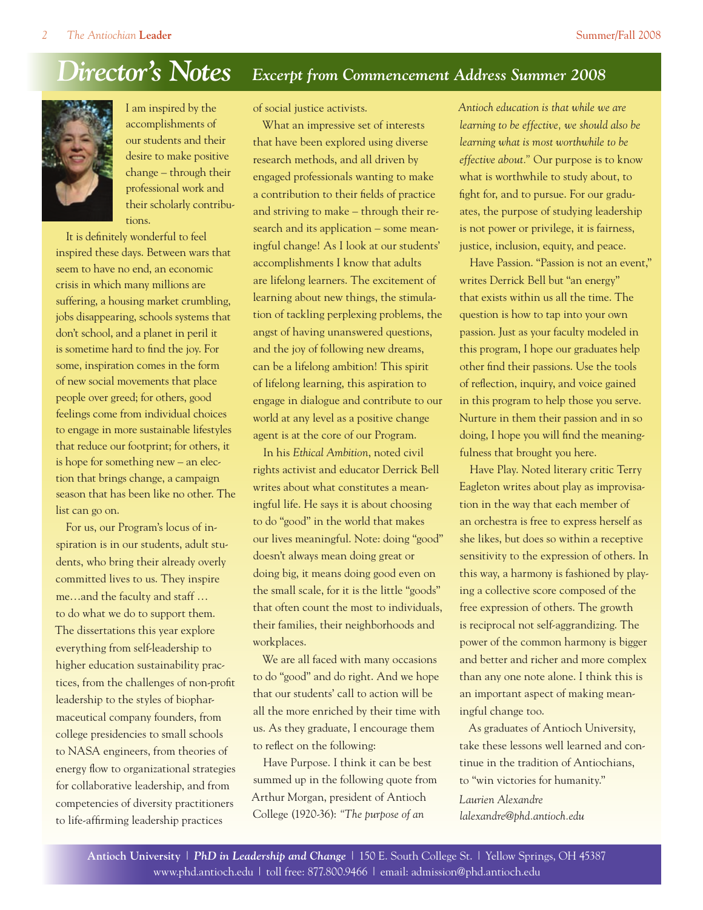#### *Director's Notes Excerpt from Commencement Address Summer 2008*



I am inspired by the accomplishments of our students and their desire to make positive change – through their professional work and their scholarly contributions.

It is definitely wonderful to feel inspired these days. Between wars that seem to have no end, an economic crisis in which many millions are suffering, a housing market crumbling, jobs disappearing, schools systems that don't school, and a planet in peril it is sometime hard to find the joy. For some, inspiration comes in the form of new social movements that place people over greed; for others, good feelings come from individual choices to engage in more sustainable lifestyles that reduce our footprint; for others, it is hope for something new – an election that brings change, a campaign season that has been like no other. The list can go on.

For us, our Program's locus of inspiration is in our students, adult students, who bring their already overly committed lives to us. They inspire me…and the faculty and staff … to do what we do to support them. The dissertations this year explore everything from self-leadership to higher education sustainability practices, from the challenges of non-profit leadership to the styles of biopharmaceutical company founders, from college presidencies to small schools to NASA engineers, from theories of energy flow to organizational strategies for collaborative leadership, and from competencies of diversity practitioners to life-affirming leadership practices

of social justice activists.

What an impressive set of interests that have been explored using diverse research methods, and all driven by engaged professionals wanting to make a contribution to their fields of practice and striving to make – through their research and its application – some meaningful change! As I look at our students' accomplishments I know that adults are lifelong learners. The excitement of learning about new things, the stimulation of tackling perplexing problems, the angst of having unanswered questions, and the joy of following new dreams, can be a lifelong ambition! This spirit of lifelong learning, this aspiration to engage in dialogue and contribute to our world at any level as a positive change agent is at the core of our Program.

In his *Ethical Ambition*, noted civil rights activist and educator Derrick Bell writes about what constitutes a meaningful life. He says it is about choosing to do "good" in the world that makes our lives meaningful. Note: doing "good" doesn't always mean doing great or doing big, it means doing good even on the small scale, for it is the little "goods" that often count the most to individuals, their families, their neighborhoods and workplaces.

We are all faced with many occasions to do "good" and do right. And we hope that our students' call to action will be all the more enriched by their time with us. As they graduate, I encourage them to reflect on the following:

Have Purpose. I think it can be best summed up in the following quote from Arthur Morgan, president of Antioch College (1920-36): *"The purpose of an* 

*Antioch education is that while we are learning to be effective, we should also be learning what is most worthwhile to be effective about."* Our purpose is to know what is worthwhile to study about, to fight for, and to pursue. For our graduates, the purpose of studying leadership is not power or privilege, it is fairness, justice, inclusion, equity, and peace.

Have Passion. "Passion is not an event," writes Derrick Bell but "an energy" that exists within us all the time. The question is how to tap into your own passion. Just as your faculty modeled in this program, I hope our graduates help other find their passions. Use the tools of reflection, inquiry, and voice gained in this program to help those you serve. Nurture in them their passion and in so doing, I hope you will find the meaningfulness that brought you here.

Have Play. Noted literary critic Terry Eagleton writes about play as improvisation in the way that each member of an orchestra is free to express herself as she likes, but does so within a receptive sensitivity to the expression of others. In this way, a harmony is fashioned by playing a collective score composed of the free expression of others. The growth is reciprocal not self-aggrandizing. The power of the common harmony is bigger and better and richer and more complex than any one note alone. I think this is an important aspect of making meaningful change too.

As graduates of Antioch University, take these lessons well learned and continue in the tradition of Antiochians, to "win victories for humanity." *Laurien Alexandre*

*lalexandre@phd.antioch.edu*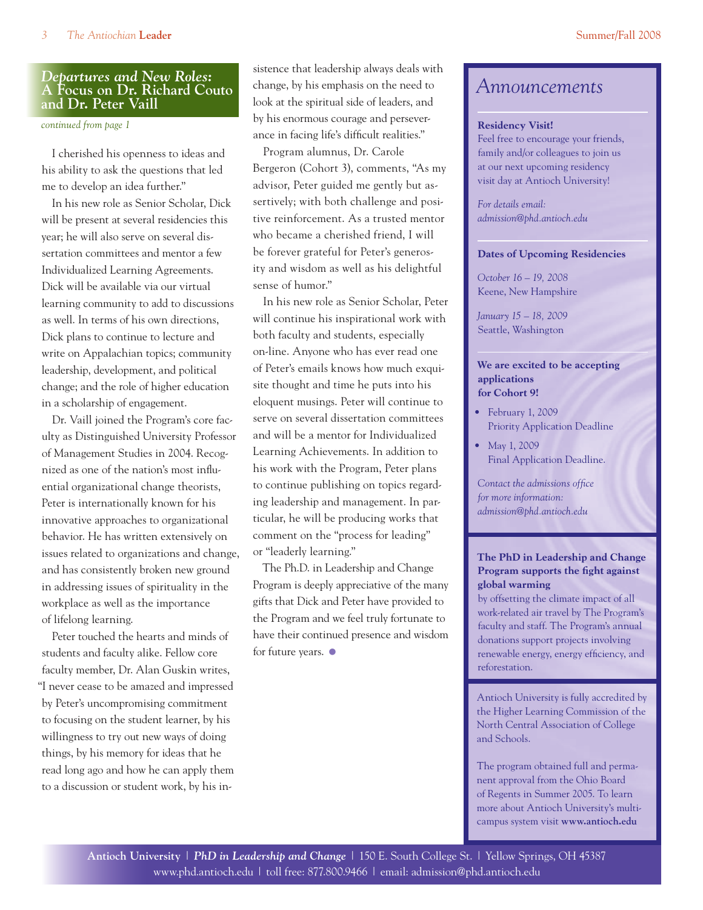#### *Departures and New Roles:*  **A Focus on Dr. Richard Couto and Dr. Peter Vaill**

*continued from page 1*

I cherished his openness to ideas and his ability to ask the questions that led me to develop an idea further."

In his new role as Senior Scholar, Dick will be present at several residencies this year; he will also serve on several dissertation committees and mentor a few Individualized Learning Agreements. Dick will be available via our virtual learning community to add to discussions as well. In terms of his own directions, Dick plans to continue to lecture and write on Appalachian topics; community leadership, development, and political change; and the role of higher education in a scholarship of engagement.

Dr. Vaill joined the Program's core faculty as Distinguished University Professor of Management Studies in 2004. Recognized as one of the nation's most influential organizational change theorists, Peter is internationally known for his innovative approaches to organizational behavior. He has written extensively on issues related to organizations and change, and has consistently broken new ground in addressing issues of spirituality in the workplace as well as the importance of lifelong learning.

Peter touched the hearts and minds of students and faculty alike. Fellow core faculty member, Dr. Alan Guskin writes, "I never cease to be amazed and impressed by Peter's uncompromising commitment to focusing on the student learner, by his willingness to try out new ways of doing things, by his memory for ideas that he read long ago and how he can apply them to a discussion or student work, by his insistence that leadership always deals with change, by his emphasis on the need to look at the spiritual side of leaders, and by his enormous courage and perseverance in facing life's difficult realities."

Program alumnus, Dr. Carole Bergeron (Cohort 3), comments, "As my advisor, Peter guided me gently but assertively; with both challenge and positive reinforcement. As a trusted mentor who became a cherished friend, I will be forever grateful for Peter's generosity and wisdom as well as his delightful sense of humor."

In his new role as Senior Scholar, Peter will continue his inspirational work with both faculty and students, especially on-line. Anyone who has ever read one of Peter's emails knows how much exquisite thought and time he puts into his eloquent musings. Peter will continue to serve on several dissertation committees and will be a mentor for Individualized Learning Achievements. In addition to his work with the Program, Peter plans to continue publishing on topics regarding leadership and management. In particular, he will be producing works that comment on the "process for leading" or "leaderly learning."

The Ph.D. in Leadership and Change Program is deeply appreciative of the many gifts that Dick and Peter have provided to the Program and we feel truly fortunate to have their continued presence and wisdom for future years.  $\bullet$ 

### *Announcements*

#### **Residency Visit!**

Feel free to encourage your friends, family and/or colleagues to join us at our next upcoming residency visit day at Antioch University!

*For details email: admission@phd.antioch.edu*

#### **Dates of Upcoming Residencies**

*October 16 – 19, 2008* Keene, New Hampshire

*January 15 – 18, 2009*  Seattle, Washington

#### **We are excited to be accepting applications for Cohort 9!**

- • February 1, 2009 Priority Application Deadline
- May 1, 2009 Final Application Deadline.

*Contact the admissions office for more information: admission@phd.antioch.edu*

#### **The PhD in Leadership and Change Program supports the fight against global warming**

by offsetting the climate impact of all work-related air travel by The Program's faculty and staff. The Program's annual donations support projects involving renewable energy, energy efficiency, and reforestation.

Antioch University is fully accredited by the Higher Learning Commission of the North Central Association of College and Schools.

The program obtained full and permanent approval from the Ohio Board of Regents in Summer 2005. To learn more about Antioch University's multicampus system visit **www.antioch.edu**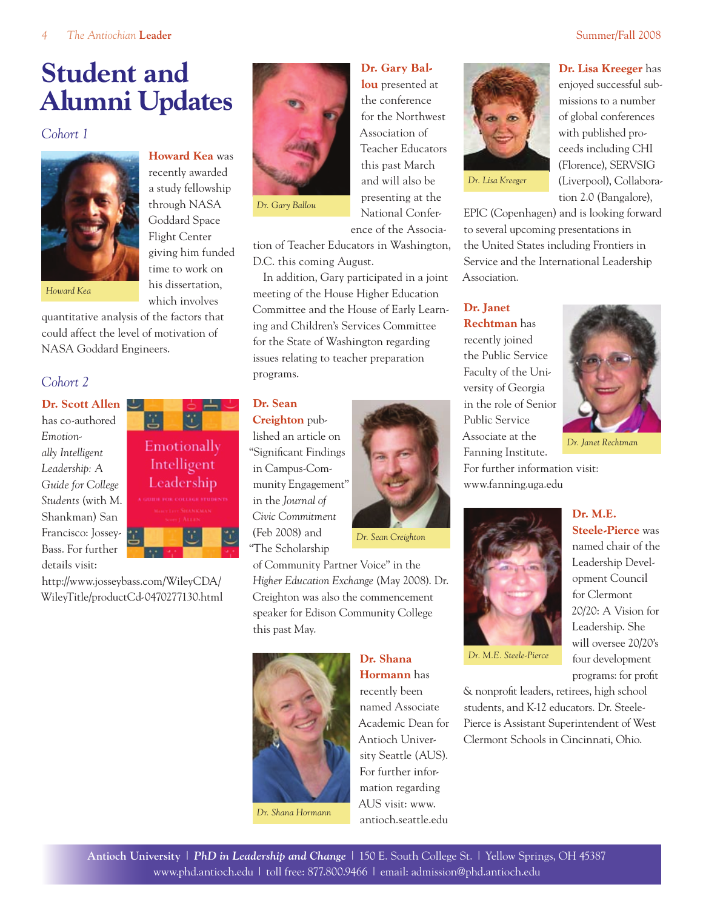# **Student and Alumni Updates**

#### *Cohort 1*



**Howard Kea** was recently awarded a study fellowship through NASA Goddard Space Flight Center giving him funded time to work on his dissertation, which involves

*Howard Kea*

quantitative analysis of the factors that could affect the level of motivation of NASA Goddard Engineers.

ä.

Emotionally Intelligent Leadership FOR COLLEGE STUDENTS

#### *Cohort 2*

**Dr. Scott Allen** has co-authored *Emotionally Intelligent Leadership: A Guide for College Students* (with M. Shankman) San Francisco: Jossey-Bass. For further details visit:

http://www.josseybass.com/WileyCDA/ WileyTitle/productCd-0470277130.html



*Dr. Gary Ballou*

ence of the Association of Teacher Educators in Washington, D.C. this coming August.

**Dr. Gary Ballou** presented at the conference for the Northwest Association of Teacher Educators this past March and will also be presenting at the National Confer-

In addition, Gary participated in a joint meeting of the House Higher Education Committee and the House of Early Learning and Children's Services Committee for the State of Washington regarding issues relating to teacher preparation programs.

#### **Dr. Sean**

**Creighton** published an article on "Significant Findings in Campus-Community Engagement" in the *Journal of Civic Commitment* (Feb 2008) and "The Scholarship



*Dr. Sean Creighton*

of Community Partner Voice" in the *Higher Education Exchange* (May 2008). Dr. Creighton was also the commencement speaker for Edison Community College this past May.



*Dr. Shana Hormann*

**Dr. Shana Hormann** has recently been named Associate Academic Dean for Antioch University Seattle (AUS). For further information regarding AUS visit: www. antioch.seattle.edu

*Dr. Lisa Kreeger*

**Dr. Lisa Kreeger** has enjoyed successful submissions to a number of global conferences with published proceeds including CHI (Florence), SERVSIG (Liverpool), Collaboration 2.0 (Bangalore),

EPIC (Copenhagen) and is looking forward to several upcoming presentations in the United States including Frontiers in Service and the International Leadership Association.

#### **Dr. Janet Rechtman** has

recently joined the Public Service Faculty of the University of Georgia in the role of Senior Public Service Associate at the Fanning Institute. For further information visit:



*Dr. Janet Rechtman*

**Steele-Pierce** was named chair of the Leadership Development Council for Clermont 20/20: A Vision for Leadership. She will oversee 20/20's four development programs: for profit

www.fanning.uga.edu **Dr. M.E.** 



*Dr. M.E. Steele-Pierce* 

& nonprofit leaders, retirees, high school students, and K-12 educators. Dr. Steele-Pierce is Assistant Superintendent of West Clermont Schools in Cincinnati, Ohio.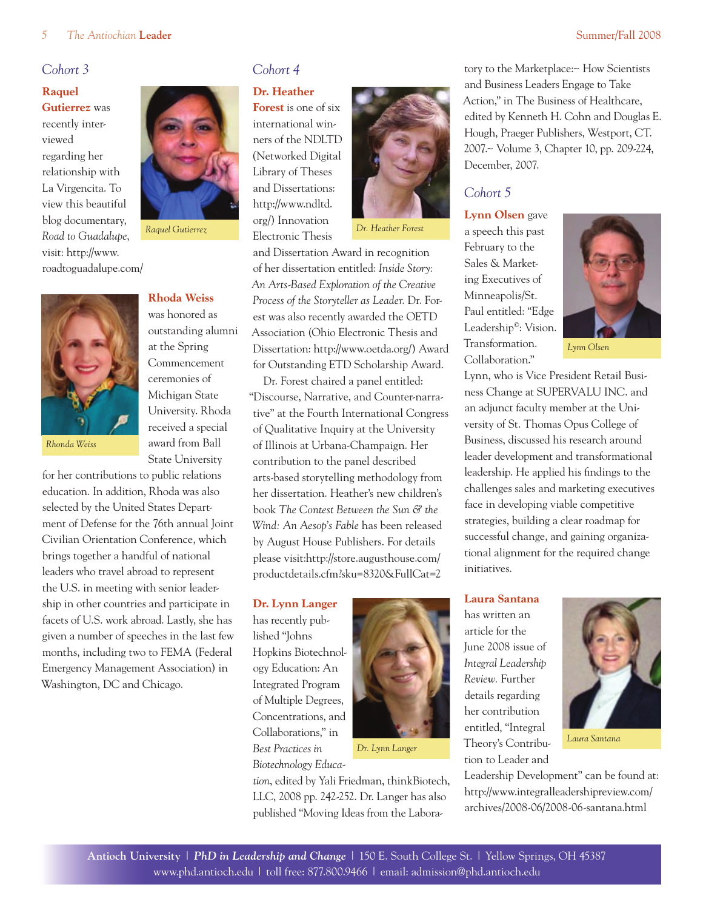tory to the Marketplace:~ How Scientists and Business Leaders Engage to Take Action," in The Business of Healthcare, edited by Kenneth H. Cohn and Douglas E. Hough, Praeger Publishers, Westport, CT. 2007.~ Volume 3, Chapter 10, pp. 209-224,

#### *Cohort 3*

#### **Raquel Gutierrez** was recently interviewed regarding her relationship with La Virgencita. To view this beautiful blog documentary, *Road to Guadalupe*,

visit: http://www. roadtoguadalupe.com/



*Raquel Gutierrez* 



**Rhoda Weiss** was honored as

outstanding alumni at the Spring Commencement ceremonies of Michigan State University. Rhoda received a special award from Ball State University

*Rhonda Weiss*

for her contributions to public relations education. In addition, Rhoda was also selected by the United States Department of Defense for the 76th annual Joint Civilian Orientation Conference, which brings together a handful of national leaders who travel abroad to represent the U.S. in meeting with senior leadership in other countries and participate in facets of U.S. work abroad. Lastly, she has given a number of speeches in the last few months, including two to FEMA (Federal Emergency Management Association) in Washington, DC and Chicago.

### *Cohort 4*

**Dr. Heather** 

**Forest** is one of six international winners of the NDLTD (Networked Digital Library of Theses and Dissertations: http://www.ndltd. org/) Innovation Electronic Thesis



*Dr. Heather Forest*

and Dissertation Award in recognition of her dissertation entitled: *Inside Story: An Arts-Based Exploration of the Creative Process of the Storyteller as Leader*. Dr. Forest was also recently awarded the OETD Association (Ohio Electronic Thesis and Dissertation: http://www.oetda.org/) Award for Outstanding ETD Scholarship Award.

Dr. Forest chaired a panel entitled: "Discourse, Narrative, and Counter-narrative" at the Fourth International Congress of Qualitative Inquiry at the University of Illinois at Urbana-Champaign. Her contribution to the panel described arts-based storytelling methodology from her dissertation. Heather's new children's book *The Contest Between the Sun & the Wind: An Aesop's Fable* has been released by August House Publishers. For details please visit:http://store.augusthouse.com/ productdetails.cfm?sku=8320&FullCat=2

#### **Dr. Lynn Langer**

has recently published "Johns Hopkins Biotechnology Education: An Integrated Program of Multiple Degrees, Concentrations, and Collaborations," in *Best Practices in Biotechnology Educa-*



*tion*, edited by Yali Friedman, thinkBiotech, LLC, 2008 pp. 242-252. Dr. Langer has also published "Moving Ideas from the Labora-



December, 2007.

February to the Sales & Market-

*Cohort 5*

**Lynn Olsen** gave a speech this past

*Lynn Olsen*

Lynn, who is Vice President Retail Business Change at SUPERVALU INC. and an adjunct faculty member at the University of St. Thomas Opus College of Business, discussed his research around leader development and transformational leadership. He applied his findings to the challenges sales and marketing executives face in developing viable competitive strategies, building a clear roadmap for successful change, and gaining organizational alignment for the required change initiatives.

#### **Laura Santana**

has written an article for the June 2008 issue of *Integral Leadership Review.* Further details regarding her contribution entitled, "Integral Theory's Contribution to Leader and



*Laura Santana*

Leadership Development" can be found at: http://www.integralleadershipreview.com/ archives/2008-06/2008-06-santana.html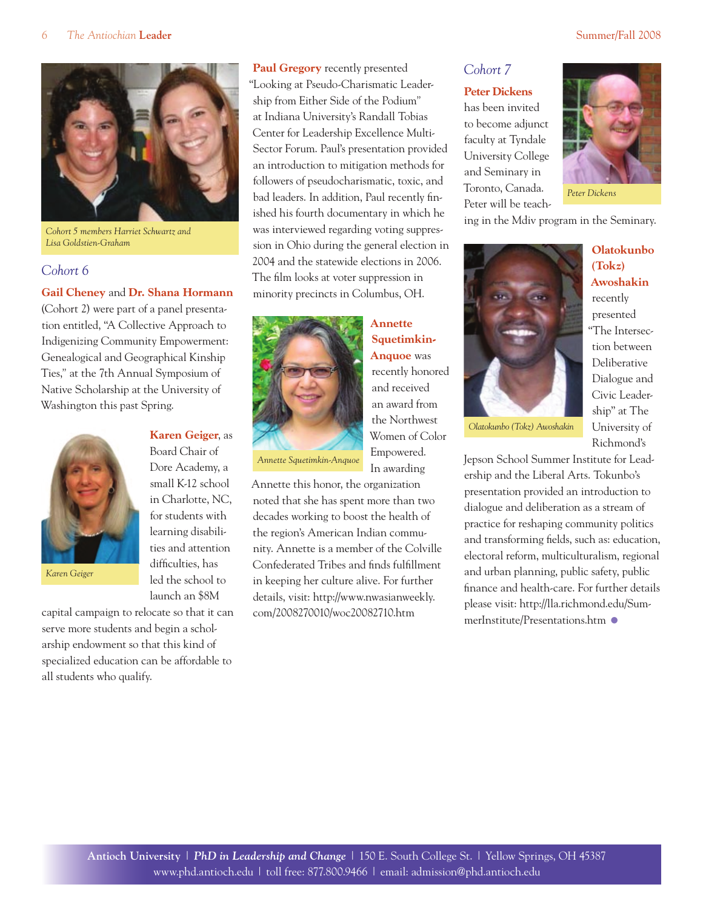

*Cohort 5 members Harriet Schwartz and Lisa Goldstien-Graham*

#### *Cohort 6*

#### **Gail Cheney** and **Dr. Shana Hormann**

(Cohort 2) were part of a panel presentation entitled, "A Collective Approach to Indigenizing Community Empowerment: Genealogical and Geographical Kinship Ties,*"* at the 7th Annual Symposium of Native Scholarship at the University of Washington this past Spring.



*Karen Geiger*

#### **Karen Geiger**, as Board Chair of

Dore Academy, a small K-12 school in Charlotte, NC, for students with learning disabilities and attention difficulties, has led the school to launch an \$8M

"Looking at Pseudo-Charismatic Leadership from Either Side of the Podium*"*  at Indiana University's Randall Tobias Center for Leadership Excellence Multi-Sector Forum. Paul's presentation provided an introduction to mitigation methods for followers of pseudocharismatic, toxic, and bad leaders. In addition, Paul recently finished his fourth documentary in which he was interviewed regarding voting suppression in Ohio during the general election in 2004 and the statewide elections in 2006. The film looks at voter suppression in minority precincts in Columbus, OH.

**Paul Gregory** recently presented



**Squetimkin-Anquoe** was recently honored and received an award from the Northwest Women of Color Empowered. In awarding

**Annette** 

*Annette Squetimkin-Anquoe* 

Annette this honor, the organization noted that she has spent more than two decades working to boost the health of the region's American Indian community. Annette is a member of the Colville Confederated Tribes and finds fulfillment in keeping her culture alive. For further details, visit: http://www.nwasianweekly. com/2008270010/woc20082710.htm

*Cohort 7*

#### **Peter Dickens**

has been invited to become adjunct faculty at Tyndale University College and Seminary in Toronto, Canada. Peter will be teach-



**Olatokunbo (Tokz) Awoshakin** recently presented "The Intersection between Deliberative Dialogue and Civic Leadership" at The University of

ing in the Mdiv program in the Seminary.



*Olatokunbo (Tokz) Awoshakin* 

Richmond's Jepson School Summer Institute for Leadership and the Liberal Arts. Tokunbo's presentation provided an introduction to dialogue and deliberation as a stream of practice for reshaping community politics and transforming fields, such as: education, electoral reform, multiculturalism, regional and urban planning, public safety, public finance and health-care. For further details please visit: http://lla.richmond.edu/SummerInstitute/Presentations.htm •

capital campaign to relocate so that it can serve more students and begin a scholarship endowment so that this kind of specialized education can be affordable to all students who qualify.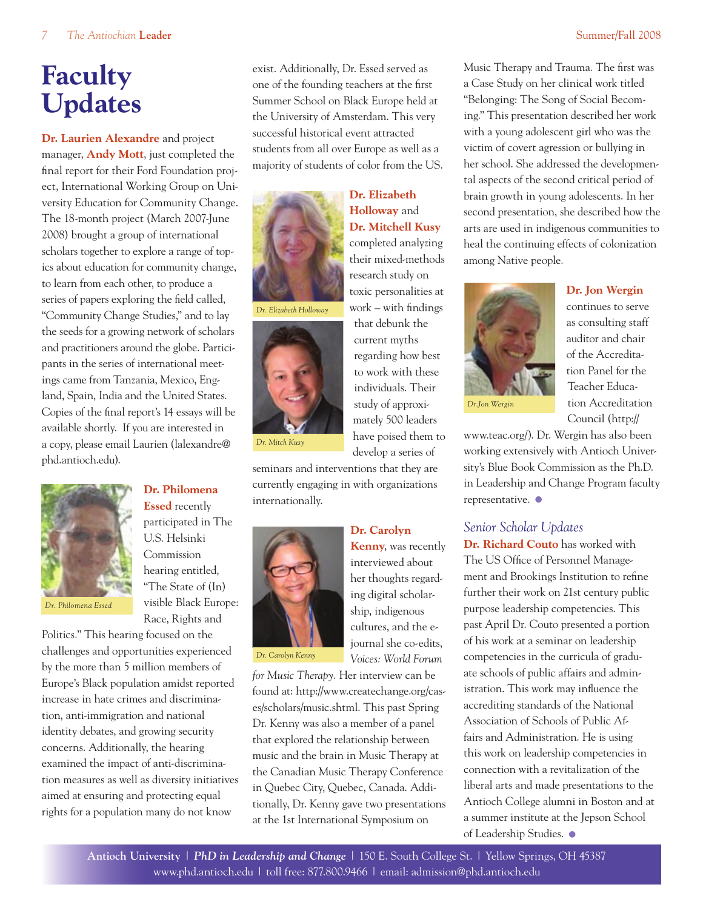# **Faculty Updates**

**Dr. Laurien Alexandre** and project manager, **Andy Mott**, just completed the final report for their Ford Foundation project, International Working Group on University Education for Community Change. The 18-month project (March 2007-June 2008) brought a group of international scholars together to explore a range of topics about education for community change, to learn from each other, to produce a series of papers exploring the field called, "Community Change Studies," and to lay the seeds for a growing network of scholars and practitioners around the globe. Participants in the series of international meetings came from Tanzania, Mexico, England, Spain, India and the United States. Copies of the final report's 14 essays will be available shortly. If you are interested in a copy, please email Laurien (lalexandre@ phd.antioch.edu).



**Dr. Philomena Essed** recently participated in The U.S. Helsinki Commission hearing entitled, "The State of (In) visible Black Europe: Race, Rights and

Politics*.*" This hearing focused on the challenges and opportunities experienced by the more than 5 million members of Europe's Black population amidst reported increase in hate crimes and discrimination, anti-immigration and national identity debates, and growing security concerns. Additionally, the hearing examined the impact of anti-discrimination measures as well as diversity initiatives aimed at ensuring and protecting equal rights for a population many do not know

exist. Additionally, Dr. Essed served as one of the founding teachers at the first Summer School on Black Europe held at the University of Amsterdam. This very successful historical event attracted students from all over Europe as well as a majority of students of color from the US.

> **Dr. Elizabeth Holloway** and **Dr. Mitchell Kusy**  completed analyzing their mixed-methods research study on toxic personalities at work – with findings that debunk the current myths regarding how best to work with these individuals. Their study of approximately 500 leaders have poised them to develop a series of



*Dr. Elizabeth Holloway*



*Dr. Mitch Kusy*

seminars and interventions that they are currently engaging in with organizations internationally.



**Dr. Carolyn** 

#### **Kenny**, was recently interviewed about her thoughts regarding digital scholarship, indigenous cultures, and the ejournal she co-edits, *Voices: World Forum*

*Dr. Carolyn Kenny*

*for Music Therapy.* Her interview can be found at: http://www.createchange.org/cases/scholars/music.shtml. This past Spring Dr. Kenny was also a member of a panel that explored the relationship between music and the brain in Music Therapy at the Canadian Music Therapy Conference in Quebec City, Quebec, Canada. Additionally, Dr. Kenny gave two presentations at the 1st International Symposium on

Music Therapy and Trauma. The first was a Case Study on her clinical work titled "Belonging: The Song of Social Becoming." This presentation described her work with a young adolescent girl who was the victim of covert agression or bullying in her school. She addressed the developmental aspects of the second critical period of brain growth in young adolescents. In her second presentation, she described how the arts are used in indigenous communities to heal the continuing effects of colonization among Native people.



continues to serve as consulting staff auditor and chair of the Accreditation Panel for the Teacher Education Accreditation Council (http://

www.teac.org/). Dr. Wergin has also been working extensively with Antioch University's Blue Book Commission as the Ph.D. in Leadership and Change Program faculty representative. •

### *Senior Scholar Updates*

**Dr. Richard Couto** has worked with The US Office of Personnel Management and Brookings Institution to refine further their work on 21st century public purpose leadership competencies. This past April Dr. Couto presented a portion of his work at a seminar on leadership competencies in the curricula of graduate schools of public affairs and administration. This work may influence the accrediting standards of the National Association of Schools of Public Affairs and Administration. He is using this work on leadership competencies in connection with a revitalization of the liberal arts and made presentations to the Antioch College alumni in Boston and at a summer institute at the Jepson School of Leadership Studies. •

**Antioch University** | *PhD in Leadership and Change* | 150 E. South College St. | Yellow Springs, OH 45387 www.phd.antioch.edu | toll free: 877.800.9466 | email: admission@phd.antioch.edu

### **Dr. Jon Wergin**